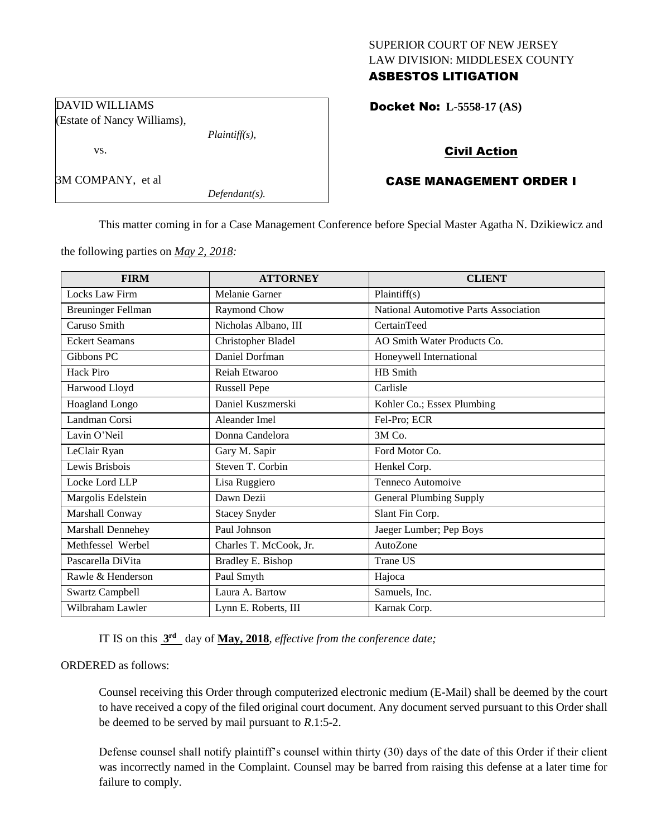## SUPERIOR COURT OF NEW JERSEY LAW DIVISION: MIDDLESEX COUNTY ASBESTOS LITIGATION

Docket No: **L-5558-17 (AS)** 

# Civil Action

# CASE MANAGEMENT ORDER I

This matter coming in for a Case Management Conference before Special Master Agatha N. Dzikiewicz and

the following parties on *May 2, 2018:*

| <b>FIRM</b>               | <b>ATTORNEY</b>        | <b>CLIENT</b>                         |
|---------------------------|------------------------|---------------------------------------|
| Locks Law Firm            | Melanie Garner         | Plaintiff(s)                          |
| <b>Breuninger Fellman</b> | Raymond Chow           | National Automotive Parts Association |
| Caruso Smith              | Nicholas Albano, III   | CertainTeed                           |
| <b>Eckert Seamans</b>     | Christopher Bladel     | AO Smith Water Products Co.           |
| Gibbons PC                | Daniel Dorfman         | Honeywell International               |
| Hack Piro                 | Reiah Etwaroo          | HB Smith                              |
| Harwood Lloyd             | <b>Russell Pepe</b>    | Carlisle                              |
| <b>Hoagland Longo</b>     | Daniel Kuszmerski      | Kohler Co.; Essex Plumbing            |
| Landman Corsi             | Aleander Imel          | Fel-Pro; ECR                          |
| Lavin O'Neil              | Donna Candelora        | 3M Co.                                |
| LeClair Ryan              | Gary M. Sapir          | Ford Motor Co.                        |
| Lewis Brisbois            | Steven T. Corbin       | Henkel Corp.                          |
| Locke Lord LLP            | Lisa Ruggiero          | Tenneco Automoive                     |
| Margolis Edelstein        | Dawn Dezii             | <b>General Plumbing Supply</b>        |
| Marshall Conway           | <b>Stacey Snyder</b>   | Slant Fin Corp.                       |
| Marshall Dennehey         | Paul Johnson           | Jaeger Lumber; Pep Boys               |
| Methfessel Werbel         | Charles T. McCook, Jr. | AutoZone                              |
| Pascarella DiVita         | Bradley E. Bishop      | Trane US                              |
| Rawle & Henderson         | Paul Smyth             | Hajoca                                |
| <b>Swartz Campbell</b>    | Laura A. Bartow        | Samuels, Inc.                         |
| Wilbraham Lawler          | Lynn E. Roberts, III   | Karnak Corp.                          |

IT IS on this **3 rd** day of **May, 2018**, *effective from the conference date;*

ORDERED as follows:

Counsel receiving this Order through computerized electronic medium (E-Mail) shall be deemed by the court to have received a copy of the filed original court document. Any document served pursuant to this Order shall be deemed to be served by mail pursuant to *R*.1:5-2.

Defense counsel shall notify plaintiff's counsel within thirty (30) days of the date of this Order if their client was incorrectly named in the Complaint. Counsel may be barred from raising this defense at a later time for failure to comply.

DAVID WILLIAMS (Estate of Nancy Williams),

*Plaintiff(s),*

*Defendant(s).*

vs.

3M COMPANY, et al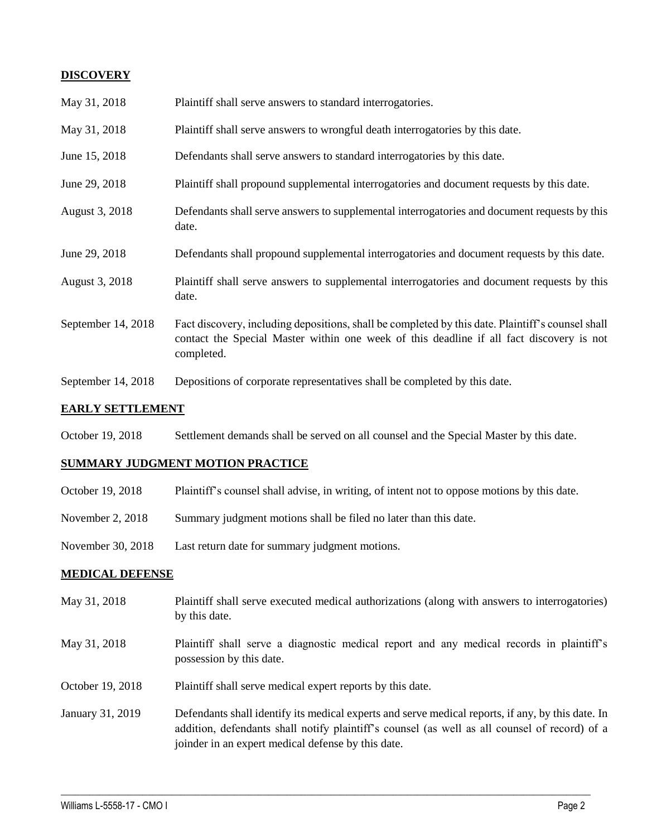## **DISCOVERY**

| May 31, 2018       | Plaintiff shall serve answers to standard interrogatories.                                                                                                                                                  |
|--------------------|-------------------------------------------------------------------------------------------------------------------------------------------------------------------------------------------------------------|
| May 31, 2018       | Plaintiff shall serve answers to wrongful death interrogatories by this date.                                                                                                                               |
| June 15, 2018      | Defendants shall serve answers to standard interrogatories by this date.                                                                                                                                    |
| June 29, 2018      | Plaintiff shall propound supplemental interrogatories and document requests by this date.                                                                                                                   |
| August 3, 2018     | Defendants shall serve answers to supplemental interrogatories and document requests by this<br>date.                                                                                                       |
| June 29, 2018      | Defendants shall propound supplemental interrogatories and document requests by this date.                                                                                                                  |
| August 3, 2018     | Plaintiff shall serve answers to supplemental interrogatories and document requests by this<br>date.                                                                                                        |
| September 14, 2018 | Fact discovery, including depositions, shall be completed by this date. Plaintiff's counsel shall<br>contact the Special Master within one week of this deadline if all fact discovery is not<br>completed. |
| September 14, 2018 | Depositions of corporate representatives shall be completed by this date.                                                                                                                                   |

## **EARLY SETTLEMENT**

October 19, 2018 Settlement demands shall be served on all counsel and the Special Master by this date.

## **SUMMARY JUDGMENT MOTION PRACTICE**

- October 19, 2018 Plaintiff's counsel shall advise, in writing, of intent not to oppose motions by this date.
- November 2, 2018 Summary judgment motions shall be filed no later than this date.
- November 30, 2018 Last return date for summary judgment motions.

## **MEDICAL DEFENSE**

- May 31, 2018 Plaintiff shall serve executed medical authorizations (along with answers to interrogatories) by this date.
- May 31, 2018 Plaintiff shall serve a diagnostic medical report and any medical records in plaintiff's possession by this date.
- October 19, 2018 Plaintiff shall serve medical expert reports by this date.
- January 31, 2019 Defendants shall identify its medical experts and serve medical reports, if any, by this date. In addition, defendants shall notify plaintiff's counsel (as well as all counsel of record) of a joinder in an expert medical defense by this date.

 $\_$  ,  $\_$  ,  $\_$  ,  $\_$  ,  $\_$  ,  $\_$  ,  $\_$  ,  $\_$  ,  $\_$  ,  $\_$  ,  $\_$  ,  $\_$  ,  $\_$  ,  $\_$  ,  $\_$  ,  $\_$  ,  $\_$  ,  $\_$  ,  $\_$  ,  $\_$  ,  $\_$  ,  $\_$  ,  $\_$  ,  $\_$  ,  $\_$  ,  $\_$  ,  $\_$  ,  $\_$  ,  $\_$  ,  $\_$  ,  $\_$  ,  $\_$  ,  $\_$  ,  $\_$  ,  $\_$  ,  $\_$  ,  $\_$  ,